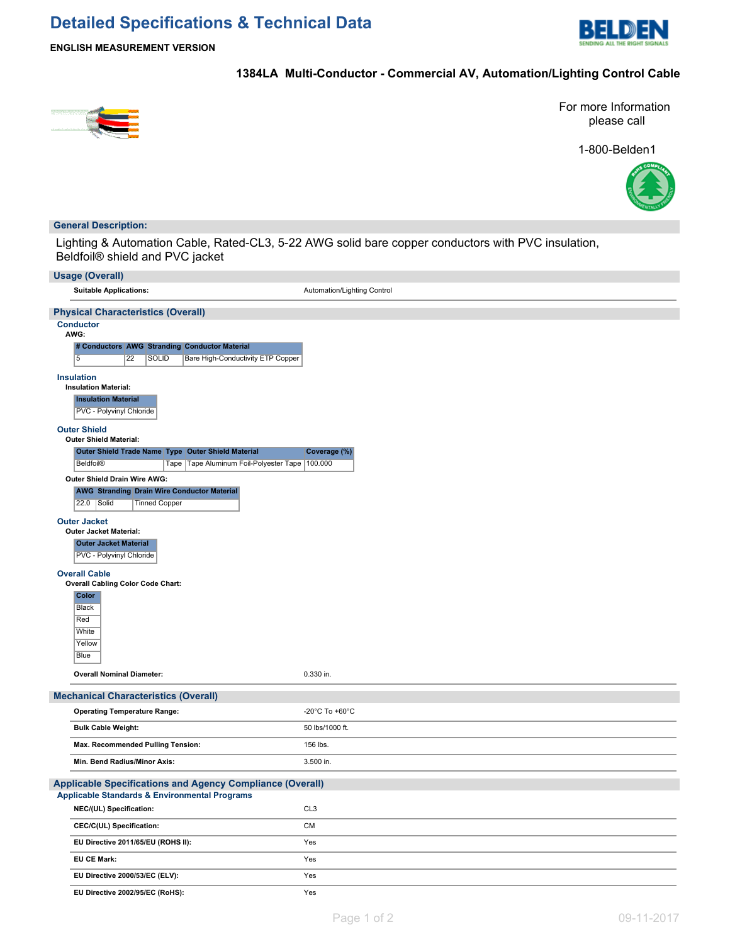# **Detailed Specifications & Technical Data**



**ENGLISH MEASUREMENT VERSION**

## **1384LA Multi-Conductor - Commercial AV, Automation/Lighting Control Cable**



For more Information please call

1-800-Belden1



### **General Description:**

Lighting & Automation Cable, Rated-CL3, 5-22 AWG solid bare copper conductors with PVC insulation, Beldfoil® shield and PVC jacket

| <b>Usage (Overall)</b>                                                                                           |                                      |
|------------------------------------------------------------------------------------------------------------------|--------------------------------------|
| <b>Suitable Applications:</b>                                                                                    | Automation/Lighting Control          |
| <b>Physical Characteristics (Overall)</b>                                                                        |                                      |
| <b>Conductor</b>                                                                                                 |                                      |
| AWG:<br># Conductors AWG Stranding Conductor Material                                                            |                                      |
| $\overline{5}$<br>22<br><b>SOLID</b><br>Bare High-Conductivity ETP Copper                                        |                                      |
| <b>Insulation</b>                                                                                                |                                      |
| <b>Insulation Material:</b><br><b>Insulation Material</b>                                                        |                                      |
| PVC - Polyvinyl Chloride                                                                                         |                                      |
| <b>Outer Shield</b>                                                                                              |                                      |
| Outer Shield Material:                                                                                           |                                      |
| Outer Shield Trade Name Type Outer Shield Material<br>Tape Tape Aluminum Foil-Polyester Tape<br><b>Beldfoil®</b> | Coverage (%)<br>100.000              |
| Outer Shield Drain Wire AWG:                                                                                     |                                      |
| <b>AWG Stranding Drain Wire Conductor Material</b>                                                               |                                      |
| 22.0<br>Solid<br><b>Tinned Copper</b>                                                                            |                                      |
| <b>Outer Jacket</b>                                                                                              |                                      |
| <b>Outer Jacket Material:</b>                                                                                    |                                      |
| <b>Outer Jacket Material</b><br>PVC - Polyvinyl Chloride                                                         |                                      |
| <b>Overall Cable</b>                                                                                             |                                      |
| <b>Overall Cabling Color Code Chart:</b>                                                                         |                                      |
| Color<br><b>Black</b>                                                                                            |                                      |
| Red                                                                                                              |                                      |
| White                                                                                                            |                                      |
| Yellow                                                                                                           |                                      |
| Blue                                                                                                             |                                      |
| <b>Overall Nominal Diameter:</b>                                                                                 | 0.330 in.                            |
| <b>Mechanical Characteristics (Overall)</b>                                                                      |                                      |
| <b>Operating Temperature Range:</b>                                                                              | -20 $^{\circ}$ C To +60 $^{\circ}$ C |
| <b>Bulk Cable Weight:</b>                                                                                        | 50 lbs/1000 ft.                      |
| Max. Recommended Pulling Tension:                                                                                | 156 lbs.                             |
| Min. Bend Radius/Minor Axis:                                                                                     | 3.500 in.                            |
| <b>Applicable Specifications and Agency Compliance (Overall)</b>                                                 |                                      |
| <b>Applicable Standards &amp; Environmental Programs</b>                                                         |                                      |
| NEC/(UL) Specification:                                                                                          | CL <sub>3</sub>                      |
| CEC/C(UL) Specification:                                                                                         | <b>CM</b>                            |
| EU Directive 2011/65/EU (ROHS II):                                                                               | Yes                                  |
| EU CE Mark:                                                                                                      | Yes                                  |
| EU Directive 2000/53/EC (ELV):                                                                                   | Yes                                  |
| EU Directive 2002/95/EC (RoHS):                                                                                  | Yes                                  |